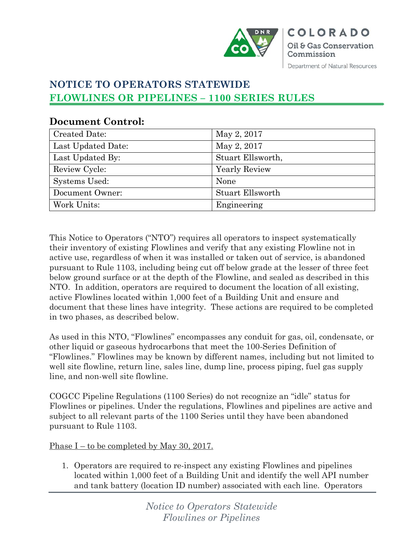

# **NOTICE TO OPERATORS STATEWIDE FLOWLINES OR PIPELINES – 1100 SERIES RULES**

| <b>Created Date:</b> | May 2, 2017          |
|----------------------|----------------------|
| Last Updated Date:   | May 2, 2017          |
| Last Updated By:     | Stuart Ellsworth,    |
| Review Cycle:        | <b>Yearly Review</b> |
| Systems Used:        | None                 |
| Document Owner:      | Stuart Ellsworth     |
| Work Units:          | Engineering          |

# **Document Control:**

This Notice to Operators ("NTO") requires all operators to inspect systematically their inventory of existing Flowlines and verify that any existing Flowline not in active use, regardless of when it was installed or taken out of service, is abandoned pursuant to Rule 1103, including being cut off below grade at the lesser of three feet below ground surface or at the depth of the Flowline, and sealed as described in this NTO. In addition, operators are required to document the location of all existing, active Flowlines located within 1,000 feet of a Building Unit and ensure and document that these lines have integrity. These actions are required to be completed in two phases, as described below.

As used in this NTO, "Flowlines" encompasses any conduit for gas, oil, condensate, or other liquid or gaseous hydrocarbons that meet the 100-Series Definition of "Flowlines." Flowlines may be known by different names, including but not limited to well site flowline, return line, sales line, dump line, process piping, fuel gas supply line, and non-well site flowline.

COGCC Pipeline Regulations (1100 Series) do not recognize an "idle" status for Flowlines or pipelines. Under the regulations, Flowlines and pipelines are active and subject to all relevant parts of the 1100 Series until they have been abandoned pursuant to Rule 1103.

Phase I – to be completed by May 30, 2017.

1. Operators are required to re-inspect any existing Flowlines and pipelines located within 1,000 feet of a Building Unit and identify the well API number and tank battery (location ID number) associated with each line. Operators

> *Notice to Operators Statewide Flowlines or Pipelines*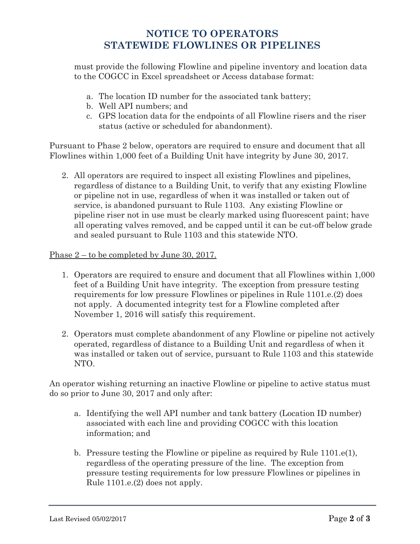### **NOTICE TO OPERATORS STATEWIDE FLOWLINES OR PIPELINES**

must provide the following Flowline and pipeline inventory and location data to the COGCC in Excel spreadsheet or Access database format:

- a. The location ID number for the associated tank battery;
- b. Well API numbers; and
- c. GPS location data for the endpoints of all Flowline risers and the riser status (active or scheduled for abandonment).

Pursuant to Phase 2 below, operators are required to ensure and document that all Flowlines within 1,000 feet of a Building Unit have integrity by June 30, 2017.

2. All operators are required to inspect all existing Flowlines and pipelines, regardless of distance to a Building Unit, to verify that any existing Flowline or pipeline not in use, regardless of when it was installed or taken out of service, is abandoned pursuant to Rule 1103. Any existing Flowline or pipeline riser not in use must be clearly marked using fluorescent paint; have all operating valves removed, and be capped until it can be cut-off below grade and sealed pursuant to Rule 1103 and this statewide NTO.

#### Phase 2 – to be completed by June 30, 2017.

- 1. Operators are required to ensure and document that all Flowlines within 1,000 feet of a Building Unit have integrity. The exception from pressure testing requirements for low pressure Flowlines or pipelines in Rule 1101.e.(2) does not apply. A documented integrity test for a Flowline completed after November 1, 2016 will satisfy this requirement.
- 2. Operators must complete abandonment of any Flowline or pipeline not actively operated, regardless of distance to a Building Unit and regardless of when it was installed or taken out of service, pursuant to Rule 1103 and this statewide NTO.

An operator wishing returning an inactive Flowline or pipeline to active status must do so prior to June 30, 2017 and only after:

- a. Identifying the well API number and tank battery (Location ID number) associated with each line and providing COGCC with this location information; and
- b. Pressure testing the Flowline or pipeline as required by Rule 1101.e(1), regardless of the operating pressure of the line. The exception from pressure testing requirements for low pressure Flowlines or pipelines in Rule 1101.e.(2) does not apply.